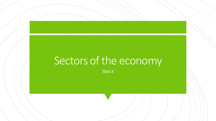# Sectors of the economy

Unit 3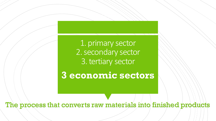1. primary sector 2. secondary sector 3. tertiary sector

3 sectors:<br>3 sectors:<br>3 sectors:

**3 economic sectors**

The process that converts raw materials into finished products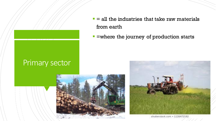#### Primary sector

- $\blacksquare$  = all the industries that take raw materials from earth
- **E** =where the journey of production starts





shutterstock.com + 1126472192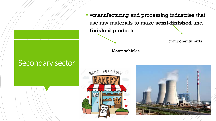#### Secondary sector

**EXTERE IS EXETEE IS EXETEE IN EXETEE FIRST: F** use raw materials to make **semi-finished** and **finished** products

components parts

Motor vehicles



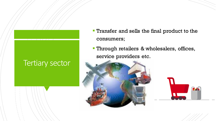#### Tertiary sector

- **Transfer and sells the final product to the** consumers;
- **Through retailers & wholesalers, offices,** service providers etc.



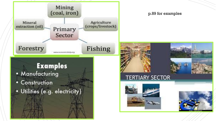#### Mining (coal, iron) Agriculture Mineral (crops/livestock) extraction (oil) Primary Sector

www.economicshelp.org

Fishing

#### p.89 for examples



Forestry

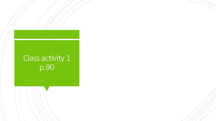### Class activity 1 p.90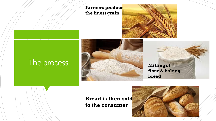**Farmers produce the finest grain**



### The process





#### **Bread is then sold to the consumer**

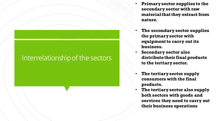#### Interrelationship of the sectors

- **Primary sector supplies to the secondary sector with raw material that they extract from nature.**
- **The secondary sector supplies the primary sector with equipment to carry out its business.**
- **Secondary sector also distribute their final products to the tertiary sector.**
- **The tertiary sector supply consumers with the final products.**
- **The tertiary sector also supply both sectors with goods and services they need to carry out their business operations**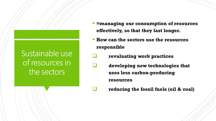## Sustainable use of resources in the sectors

- *<u>Emanaging our consumption of resources</u>* **effectively, so that they last longer.**
- **How can the sectors use the resources responsible**
	- ❑ **revaluating work practices**
		- ❑ **developing new technologies that uses less carbon-producing resources**
		- ❑ **reducing the fossil fuels (oil & coal)**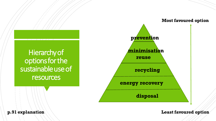



**p.91 explanation Least favoured option**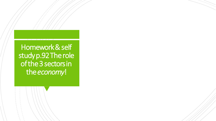Homework & self study p.92 The role of the 3 sectors in the *economy*!